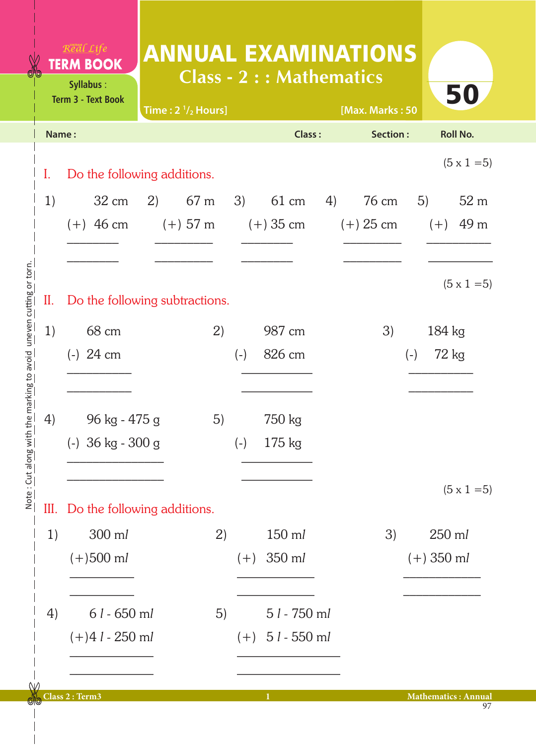## ANNUAL EXAMINATIONS **Class - 2 : : Mathematics**

|       | <b>Term 3 - Text Book</b>        | Time: $2 \frac{1}{2}$ Hours] |      |       |                           | [Max. Marks: 50 |              | JU                         |
|-------|----------------------------------|------------------------------|------|-------|---------------------------|-----------------|--------------|----------------------------|
| Name: |                                  |                              |      |       | <b>Class:</b>             | Section:        |              | <b>Roll No.</b>            |
| I.    | Do the following additions.      |                              |      |       |                           |                 |              | $(5 \times 1 = 5)$         |
| 1)    | $32 \text{ cm}$                  | 2)                           | 67 m | 3)    | 61 cm                     | 4) 76 cm        | 5)           | 52 m                       |
|       | $(+)$ 46 cm                      | $(+)$ 57 m                   |      |       | (+) 35 cm                 | $(+)$ 25 cm     |              | $(+)$ 49 m                 |
|       |                                  |                              |      |       |                           |                 |              |                            |
|       |                                  |                              |      |       |                           |                 |              |                            |
| II.   | Do the following subtractions.   |                              |      |       |                           |                 |              | $(5 \times 1 = 5)$         |
| 1)    | 68 cm                            |                              | 2)   |       | 987 cm                    | 3)              |              | 184 kg                     |
|       | $(-)$ 24 cm                      |                              |      | $(-)$ | 826 cm                    |                 | $(-)$        | 72 kg                      |
|       |                                  |                              |      |       |                           |                 |              |                            |
|       |                                  |                              |      |       |                           |                 |              |                            |
| 4)    | 96 kg - 475 g                    |                              | 5)   |       | 750 kg                    |                 |              |                            |
|       | $(-)$ 36 kg - 300 g              |                              |      | $(-)$ | $175 \text{ kg}$          |                 |              |                            |
|       |                                  |                              |      |       |                           |                 |              |                            |
|       |                                  |                              |      |       |                           |                 |              | $(5 \times 1 = 5)$         |
|       | III. Do the following additions. |                              |      |       |                           |                 |              |                            |
| 1)    | 300 ml                           |                              | 2)   |       | 150 ml                    | 3)              |              | 250 ml                     |
|       | $(+)500$ ml                      |                              |      |       | $(+)$ 350 ml              |                 | $(+)$ 350 ml |                            |
|       |                                  |                              |      |       |                           |                 |              |                            |
| 4)    | $61 - 650$ ml                    |                              | 5)   |       | $51 - 750$ ml             |                 |              |                            |
|       | $(+)41 - 250$ ml                 |                              |      |       | $(+)$ 5 <i>l</i> - 550 ml |                 |              |                            |
|       |                                  |                              |      |       |                           |                 |              |                            |
|       |                                  |                              |      |       |                           |                 |              |                            |
|       | Class 2 : Term3                  |                              |      |       | $\bf{1}$                  |                 |              | <b>Mathematics: Annual</b> |

Λ

**Syllabus** :

Real Life **TERM BOOK** 

50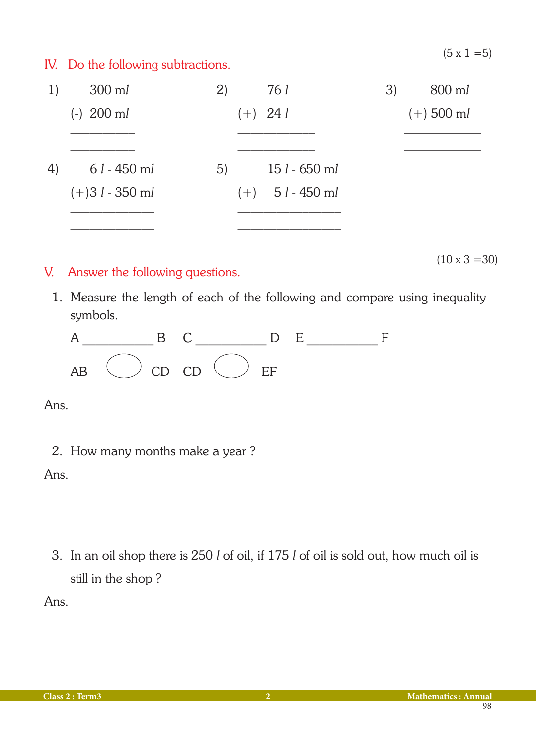$(5 \times 1 = 5)$ 

 $(10 \times 3 = 30)$ 

## IV. Do the following subtractions.

| $300$ ml         | (2) |  | 3)                                                                       | 800 ml       |
|------------------|-----|--|--------------------------------------------------------------------------|--------------|
| $(-)$ 200 ml     |     |  |                                                                          | $(+)$ 500 ml |
|                  |     |  |                                                                          |              |
| $61 - 450$ ml    | 5)  |  |                                                                          |              |
| $(+)31 - 350$ ml |     |  |                                                                          |              |
|                  |     |  |                                                                          |              |
|                  |     |  | 761<br>$(+)$ 24 l<br>$151 - 650$ ml<br>$(+)$ 5 <i>l</i> - 450 m <i>l</i> |              |

## V. Answer the following questions.

1. Measure the length of each of the following and compare using inequality symbols.



Ans.

2. How many months make a year ?

## Ans.

3. In an oil shop there is 250 *l* of oil, if 175 *l* of oil is sold out, how much oil is still in the shop ?

Ans.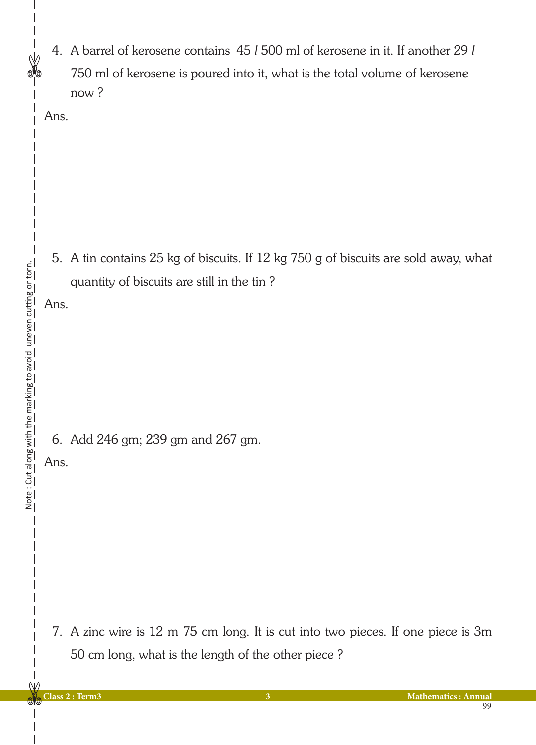4. A barrel of kerosene contains 45 *l* 500 ml of kerosene in it. If another 29 *l* 750 ml of kerosene is poured into it, what is the total volume of kerosene now ?

Ans.

5. A tin contains 25 kg of biscuits. If 12 kg 750 g of biscuits are sold away, what quantity of biscuits are still in the tin ?

Ans.

6. Add 246 gm; 239 gm and 267 gm.

Ans.

7. A zinc wire is 12 m 75 cm long. It is cut into two pieces. If one piece is 3m 50 cm long, what is the length of the other piece ?